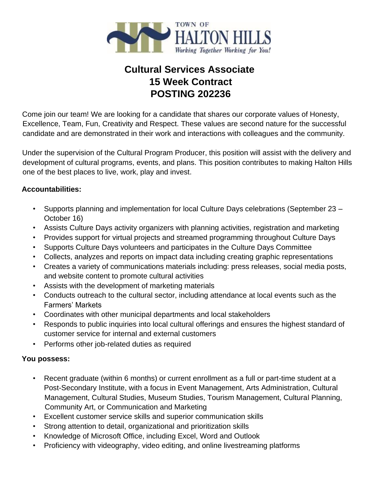

# **Cultural Services Associate 15 Week Contract POSTING 202236**

Come join our team! We are looking for a candidate that shares our corporate values of Honesty, Excellence, Team, Fun, Creativity and Respect. These values are second nature for the successful candidate and are demonstrated in their work and interactions with colleagues and the community.

Under the supervision of the Cultural Program Producer, this position will assist with the delivery and development of cultural programs, events, and plans. This position contributes to making Halton Hills one of the best places to live, work, play and invest.

### **Accountabilities:**

- Supports planning and implementation for local Culture Days celebrations (September 23 October 16)
- Assists Culture Days activity organizers with planning activities, registration and marketing
- Provides support for virtual projects and streamed programming throughout Culture Days
- Supports Culture Days volunteers and participates in the Culture Days Committee
- Collects, analyzes and reports on impact data including creating graphic representations
- Creates a variety of communications materials including: press releases, social media posts, and website content to promote cultural activities
- Assists with the development of marketing materials
- Conducts outreach to the cultural sector, including attendance at local events such as the Farmers' Markets
- Coordinates with other municipal departments and local stakeholders
- Responds to public inquiries into local cultural offerings and ensures the highest standard of customer service for internal and external customers
- Performs other job-related duties as required

# **You possess:**

- Recent graduate (within 6 months) or current enrollment as a full or part-time student at a Post-Secondary Institute, with a focus in Event Management, Arts Administration, Cultural Management, Cultural Studies, Museum Studies, Tourism Management, Cultural Planning, Community Art, or Communication and Marketing
- Excellent customer service skills and superior communication skills
- Strong attention to detail, organizational and prioritization skills
- Knowledge of Microsoft Office, including Excel, Word and Outlook
- Proficiency with videography, video editing, and online livestreaming platforms